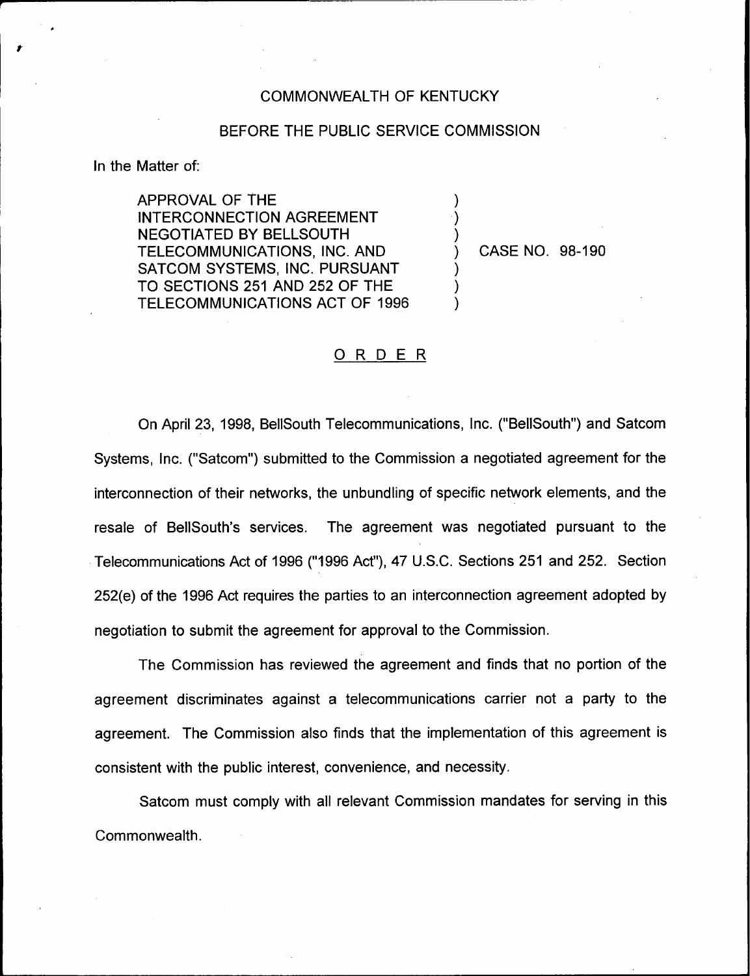## COMMONWEALTH OF KENTUCKY

## BEFORE THE PUBLIC SERVICE COMMISSION

) ) )

 $\overline{\phantom{a}}$ ) )

In the Matter of:

APPROVAL OF THE INTERCONNECTION AGREEMENT **NEGOTIATED BY BELLSOUTH** TELECOMMUNICATIONS, INC. AND SATCOM SYSTEMS, INC. PURSUANT TO SECTIONS 251 AND 252 OF THE TELECOMMUNICATIONS ACT OF 1996

) CASE NO. 98-190

## ORDER

On April 23, 1998, BellSouth Telecommunications, Inc. ("BellSouth") and Satcom Systems, Inc. ("Satcom") submitted to the Commission a negotiated agreement for the interconnection of their networks, the unbundling of specific network elements, and the resale of BellSouth's services. The agreement was negotiated pursuant to the Telecommunications Act of 1996 ("1996Act"), 47 U.S.C. Sections 251 and 252. Section 252(e) of the 1996 Act requires the parties to an interconnection agreement adopted by negotiation to submit the agreement for approval to the Commission.

The Commission has reviewed the agreement and finds that no portion of the agreement discriminates against a telecommunications carrier not a party to the agreement. The Commission also finds that the implementation of this agreement is consistent with the public interest, convenience, and necessity.

Satcom must comply with all relevant Commission mandates for serving in this Commonwealth.